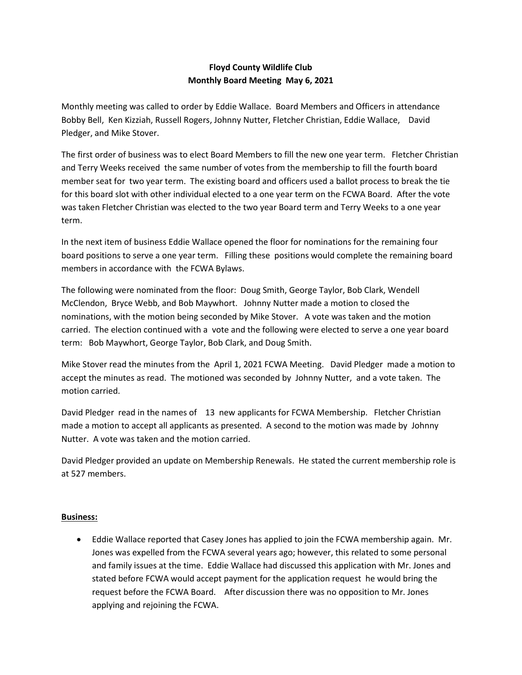## Floyd County Wildlife Club Monthly Board Meeting May 6, 2021

Monthly meeting was called to order by Eddie Wallace. Board Members and Officers in attendance Bobby Bell, Ken Kizziah, Russell Rogers, Johnny Nutter, Fletcher Christian, Eddie Wallace, David Pledger, and Mike Stover.

The first order of business was to elect Board Members to fill the new one year term. Fletcher Christian and Terry Weeks received the same number of votes from the membership to fill the fourth board member seat for two year term. The existing board and officers used a ballot process to break the tie for this board slot with other individual elected to a one year term on the FCWA Board. After the vote was taken Fletcher Christian was elected to the two year Board term and Terry Weeks to a one year term.

In the next item of business Eddie Wallace opened the floor for nominations for the remaining four board positions to serve a one year term. Filling these positions would complete the remaining board members in accordance with the FCWA Bylaws.

The following were nominated from the floor: Doug Smith, George Taylor, Bob Clark, Wendell McClendon, Bryce Webb, and Bob Maywhort. Johnny Nutter made a motion to closed the nominations, with the motion being seconded by Mike Stover. A vote was taken and the motion carried. The election continued with a vote and the following were elected to serve a one year board term: Bob Maywhort, George Taylor, Bob Clark, and Doug Smith.

Mike Stover read the minutes from the April 1, 2021 FCWA Meeting. David Pledger made a motion to accept the minutes as read. The motioned was seconded by Johnny Nutter, and a vote taken. The motion carried.

David Pledger read in the names of 13 new applicants for FCWA Membership. Fletcher Christian made a motion to accept all applicants as presented. A second to the motion was made by Johnny Nutter. A vote was taken and the motion carried.

David Pledger provided an update on Membership Renewals. He stated the current membership role is at 527 members.

## Business:

 Eddie Wallace reported that Casey Jones has applied to join the FCWA membership again. Mr. Jones was expelled from the FCWA several years ago; however, this related to some personal and family issues at the time. Eddie Wallace had discussed this application with Mr. Jones and stated before FCWA would accept payment for the application request he would bring the request before the FCWA Board. After discussion there was no opposition to Mr. Jones applying and rejoining the FCWA.